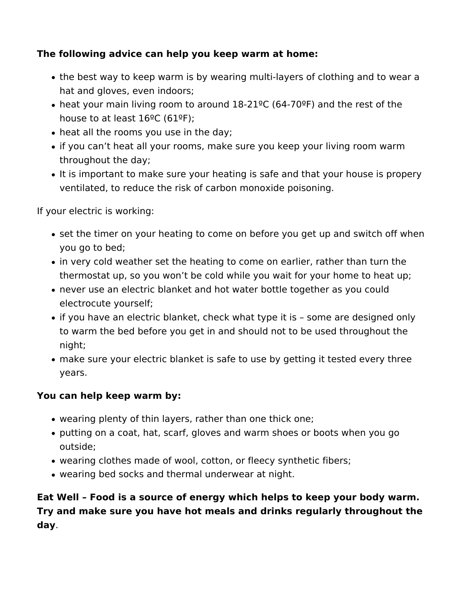## **The following advice can help you keep warm at home:**

- the best way to keep warm is by wearing multi-layers of clothing and to wear a hat and gloves, even indoors;
- heat your main living room to around 18-21ºC (64-70ºF) and the rest of the house to at least  $16^{\circ}$ C (61°F);
- heat all the rooms you use in the day;
- if you can't heat all your rooms, make sure you keep your living room warm throughout the day;
- It is important to make sure your heating is safe and that your house is propery ventilated, to reduce the risk of carbon monoxide poisoning.

If your electric is working:

- set the timer on your heating to come on before you get up and switch off when you go to bed;
- in very cold weather set the heating to come on earlier, rather than turn the thermostat up, so you won't be cold while you wait for your home to heat up;
- never use an electric blanket and hot water bottle together as you could electrocute yourself;
- if you have an electric blanket, check what type it is some are designed only to warm the bed before you get in and should not to be used throughout the night;
- make sure your electric blanket is safe to use by getting it tested every three years.

## **You can help keep warm by:**

- wearing plenty of thin layers, rather than one thick one;
- putting on a coat, hat, scarf, gloves and warm shoes or boots when you go outside;
- wearing clothes made of wool, cotton, or fleecy synthetic fibers;
- wearing bed socks and thermal underwear at night.

**Eat Well – Food is a source of energy which helps to keep your body warm. Try and make sure you have hot meals and drinks regularly throughout the day**.